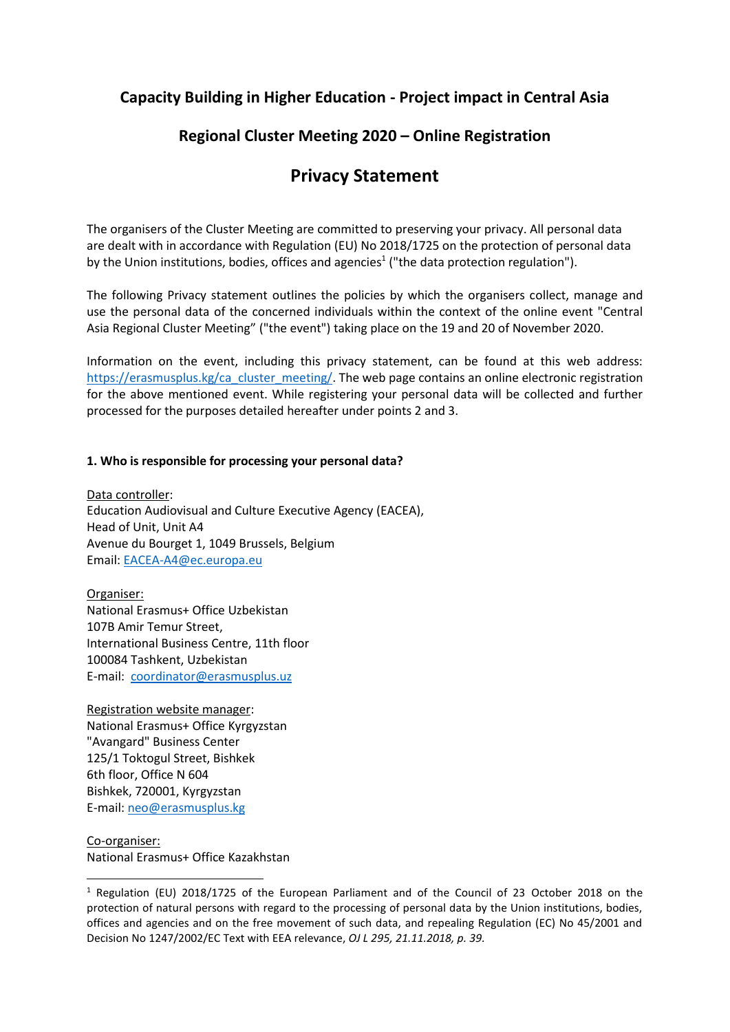## **Capacity Building in Higher Education - Project impact in Central Asia**

# **Regional Cluster Meeting 2020 – Online Registration**

# **Privacy Statement**

The organisers of the Cluster Meeting are committed to preserving your privacy. All personal data are dealt with in accordance with Regulation (EU) No 2018/1725 on the protection of personal data by the Union institutions, bodies, offices and agencies<sup>1</sup> ("the data protection regulation").

The following Privacy statement outlines the policies by which the organisers collect, manage and use the personal data of the concerned individuals within the context of the online event "Central Asia Regional Cluster Meeting" ("the event") taking place on the 19 and 20 of November 2020.

Information on the event, including this privacy statement, can be found at this web address: [https://erasmusplus.kg/ca\\_cluster\\_meeting/.](https://erasmusplus.kg/ca_cluster_meeting/) The web page contains an online electronic registration for the above mentioned event. While registering your personal data will be collected and further processed for the purposes detailed hereafter under points 2 and 3.

#### **1. Who is responsible for processing your personal data?**

Data controller: Education Audiovisual and Culture Executive Agency (EACEA), Head of Unit, Unit A4 Avenue du Bourget 1, 1049 Brussels, Belgium Email: [EACEA-A4@ec.europa.eu](mailto:EACEA-A4@ec.europa.eu)

Organiser: National Erasmus+ Office Uzbekistan 107B Amir Temur Street, International Business Centre, 11th floor 100084 Tashkent, Uzbekistan E-mail: [coordinator@erasmusplus.uz](mailto:coordinator@erasmusplus.uz)

Registration website manager: National Erasmus+ Office Kyrgyzstan "Avangard" Business Center 125/1 Toktogul Street, Bishkek 6th floor, Office N 604 Bishkek, 720001, Kyrgyzstan E-mail: [neo@erasmusplus.kg](mailto:neo@erasmusplus.kg)

Co-organiser: National Erasmus+ Office Kazakhstan

1

<sup>1</sup> Regulation (EU) 2018/1725 of the European Parliament and of the Council of 23 October 2018 on the protection of natural persons with regard to the processing of personal data by the Union institutions, bodies, offices and agencies and on the free movement of such data, and repealing Regulation (EC) No 45/2001 and Decision No 1247/2002/EC Text with EEA relevance, *OJ L 295, 21.11.2018, p. 39.*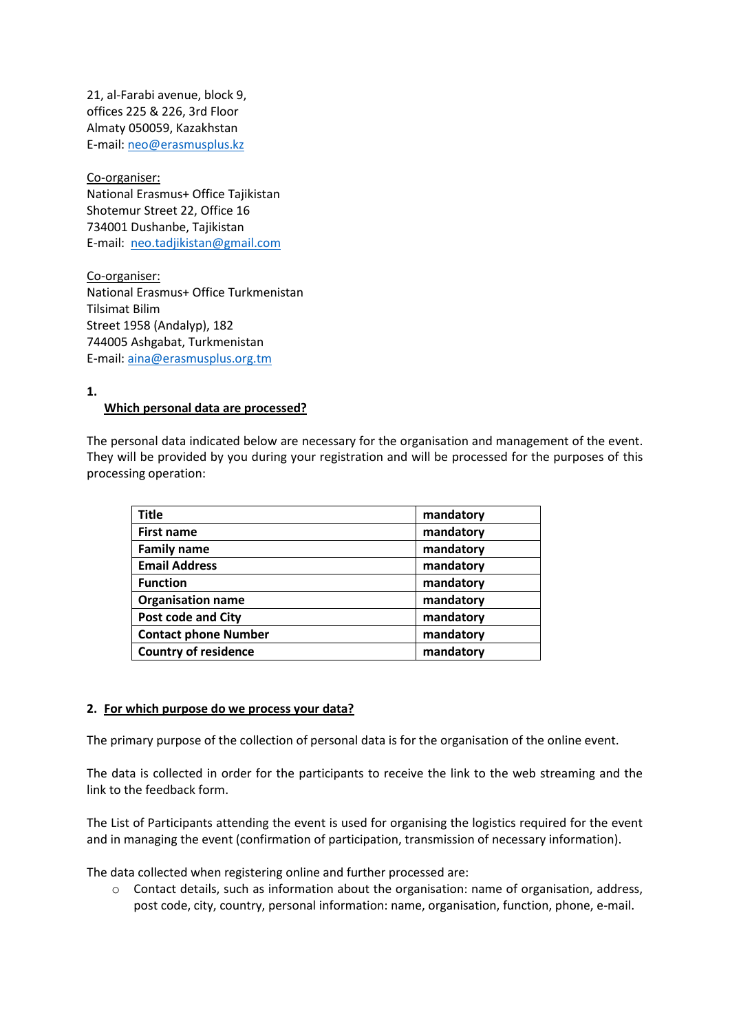21, al-Farabi avenue, block 9, offices 225 & 226, 3rd Floor Almaty 050059, Kazakhstan E-mail: [neo@erasmusplus.kz](mailto:neo@erasmusplus.kz)

Co-organiser: National Erasmus+ Office Tajikistan Shotemur Street 22, Office 16 734001 Dushanbe, Tajikistan E-mail: [neo.tadjikistan@gmail.com](mailto:neo.tadjikistan@gmail.com)

Co-organiser: National Erasmus+ Office Turkmenistan Tilsimat Bilim Street 1958 (Andalyp), 182 744005 Ashgabat, Turkmenistan E-mail: [aina@erasmusplus.org.tm](mailto:aina@erasmusplus.org.tm)

**1.**

#### **Which personal data are processed?**

The personal data indicated below are necessary for the organisation and management of the event. They will be provided by you during your registration and will be processed for the purposes of this processing operation:

| <b>Title</b>                | mandatory |
|-----------------------------|-----------|
| <b>First name</b>           | mandatory |
| <b>Family name</b>          | mandatory |
| <b>Email Address</b>        | mandatory |
| <b>Function</b>             | mandatory |
| <b>Organisation name</b>    | mandatory |
| <b>Post code and City</b>   | mandatory |
| <b>Contact phone Number</b> | mandatory |
| <b>Country of residence</b> | mandatory |

#### **2. For which purpose do we process your data?**

The primary purpose of the collection of personal data is for the organisation of the online event.

The data is collected in order for the participants to receive the link to the web streaming and the link to the feedback form.

The List of Participants attending the event is used for organising the logistics required for the event and in managing the event (confirmation of participation, transmission of necessary information).

The data collected when registering online and further processed are:

o Contact details, such as information about the organisation: name of organisation, address, post code, city, country, personal information: name, organisation, function, phone, e-mail.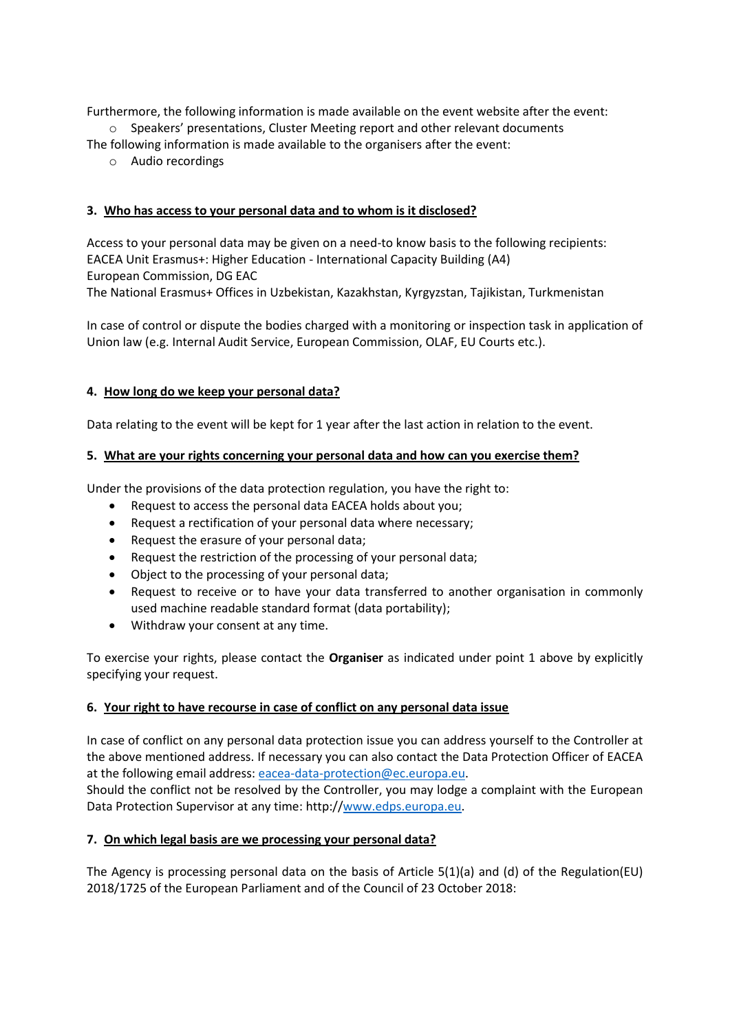Furthermore, the following information is made available on the event website after the event: o Speakers' presentations, Cluster Meeting report and other relevant documents

The following information is made available to the organisers after the event:

o Audio recordings

## **3. Who has access to your personal data and to whom is it disclosed?**

Access to your personal data may be given on a need-to know basis to the following recipients: EACEA Unit Erasmus+: Higher Education - International Capacity Building (A4) European Commission, DG EAC The National Erasmus+ Offices in Uzbekistan, Kazakhstan, Kyrgyzstan, Tajikistan, Turkmenistan

In case of control or dispute the bodies charged with a monitoring or inspection task in application of Union law (e.g. Internal Audit Service, European Commission, OLAF, EU Courts etc.).

## **4. How long do we keep your personal data?**

Data relating to the event will be kept for 1 year after the last action in relation to the event.

### **5. What are your rights concerning your personal data and how can you exercise them?**

Under the provisions of the data protection regulation, you have the right to:

- Request to access the personal data EACEA holds about you;
- Request a rectification of your personal data where necessary;
- Request the erasure of your personal data;
- Request the restriction of the processing of your personal data;
- Object to the processing of your personal data;
- Request to receive or to have your data transferred to another organisation in commonly used machine readable standard format (data portability);
- Withdraw your consent at any time.

To exercise your rights, please contact the **Organiser** as indicated under point 1 above by explicitly specifying your request.

### **6. Your right to have recourse in case of conflict on any personal data issue**

In case of conflict on any personal data protection issue you can address yourself to the Controller at the above mentioned address. If necessary you can also contact the Data Protection Officer of EACEA at the following email address: [eacea-data-protection@ec.europa.eu.](mailto:eacea-data-protection@ec.europa.eu) Should the conflict not be resolved by the Controller, you may lodge a complaint with the European Data Protection Supervisor at any time: http:/[/www.edps.europa.eu.](http://www.edps.europa.eu/)

### **7. On which legal basis are we processing your personal data?**

The Agency is processing personal data on the basis of Article 5(1)(a) and (d) of the Regulation(EU) 2018/1725 of the European Parliament and of the Council of 23 October 2018: